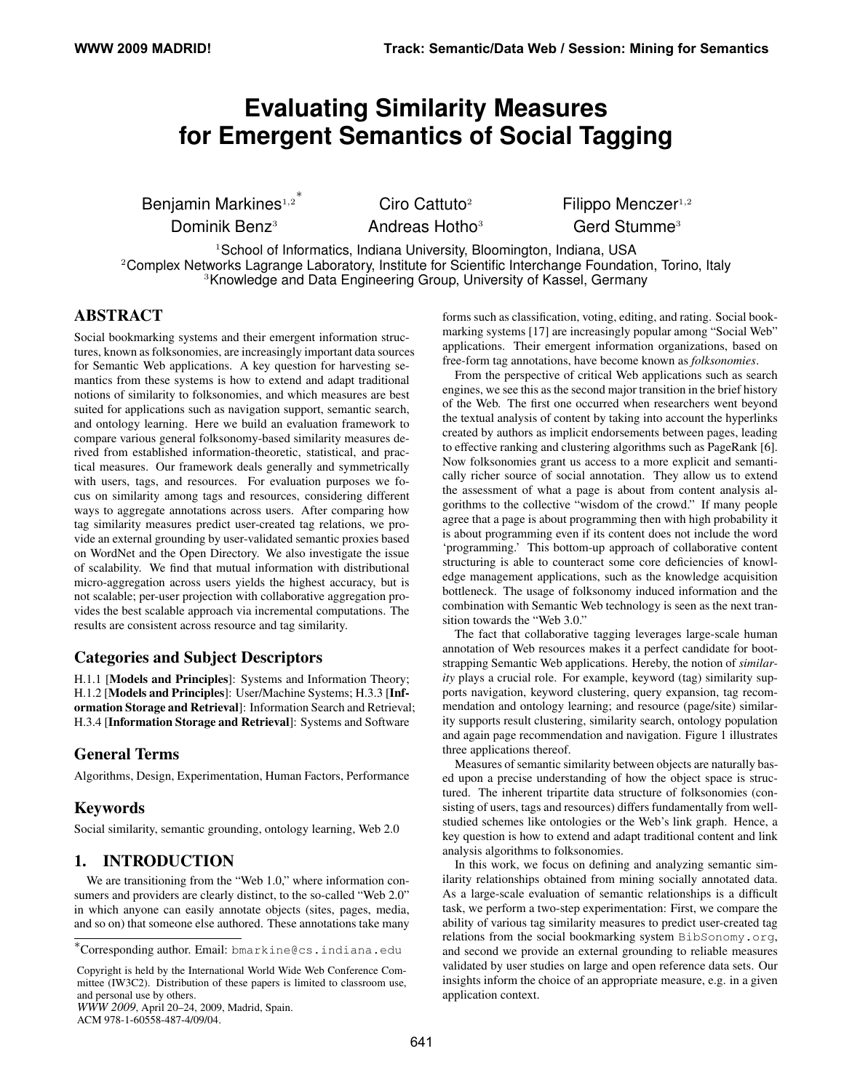# **Evaluating Similarity Measures for Emergent Semantics of Social Tagging**

Benjamin Markines $^{1,2}^*$ Dominik Benz<sup>3</sup> Andreas Hotho<sup>3</sup> Gerd Stumme<sup>3</sup>

Ciro Cattuto<sup>2</sup> Filippo Menczer<sup>1,2</sup>

<sup>1</sup>School of Informatics, Indiana University, Bloomington, Indiana, USA <sup>2</sup>Complex Networks Lagrange Laboratory, Institute for Scientific Interchange Foundation, Torino, Italy <sup>3</sup> Knowledge and Data Engineering Group, University of Kassel, Germany

# ABSTRACT

Social bookmarking systems and their emergent information structures, known as folksonomies, are increasingly important data sources for Semantic Web applications. A key question for harvesting semantics from these systems is how to extend and adapt traditional notions of similarity to folksonomies, and which measures are best suited for applications such as navigation support, semantic search, and ontology learning. Here we build an evaluation framework to compare various general folksonomy-based similarity measures derived from established information-theoretic, statistical, and practical measures. Our framework deals generally and symmetrically with users, tags, and resources. For evaluation purposes we focus on similarity among tags and resources, considering different ways to aggregate annotations across users. After comparing how tag similarity measures predict user-created tag relations, we provide an external grounding by user-validated semantic proxies based on WordNet and the Open Directory. We also investigate the issue of scalability. We find that mutual information with distributional micro-aggregation across users yields the highest accuracy, but is not scalable; per-user projection with collaborative aggregation provides the best scalable approach via incremental computations. The results are consistent across resource and tag similarity.

# Categories and Subject Descriptors

H.1.1 [Models and Principles]: Systems and Information Theory; H.1.2 [Models and Principles]: User/Machine Systems; H.3.3 [Information Storage and Retrieval]: Information Search and Retrieval; H.3.4 [Information Storage and Retrieval]: Systems and Software

# General Terms

Algorithms, Design, Experimentation, Human Factors, Performance

# Keywords

Social similarity, semantic grounding, ontology learning, Web 2.0

# 1. INTRODUCTION

We are transitioning from the "Web 1.0," where information consumers and providers are clearly distinct, to the so-called "Web 2.0" in which anyone can easily annotate objects (sites, pages, media, and so on) that someone else authored. These annotations take many

Copyright is held by the International World Wide Web Conference Committee (IW3C2). Distribution of these papers is limited to classroom use, and personal use by others.

*WWW 2009*, April 20–24, 2009, Madrid, Spain. ACM 978-1-60558-487-4/09/04.

forms such as classification, voting, editing, and rating. Social bookmarking systems [17] are increasingly popular among "Social Web" applications. Their emergent information organizations, based on free-form tag annotations, have become known as *folksonomies*.

From the perspective of critical Web applications such as search engines, we see this as the second major transition in the brief history of the Web. The first one occurred when researchers went beyond the textual analysis of content by taking into account the hyperlinks created by authors as implicit endorsements between pages, leading to effective ranking and clustering algorithms such as PageRank [6]. Now folksonomies grant us access to a more explicit and semantically richer source of social annotation. They allow us to extend the assessment of what a page is about from content analysis algorithms to the collective "wisdom of the crowd." If many people agree that a page is about programming then with high probability it is about programming even if its content does not include the word 'programming.' This bottom-up approach of collaborative content structuring is able to counteract some core deficiencies of knowledge management applications, such as the knowledge acquisition bottleneck. The usage of folksonomy induced information and the combination with Semantic Web technology is seen as the next transition towards the "Web 3.0."

The fact that collaborative tagging leverages large-scale human annotation of Web resources makes it a perfect candidate for bootstrapping Semantic Web applications. Hereby, the notion of *similarity* plays a crucial role. For example, keyword (tag) similarity supports navigation, keyword clustering, query expansion, tag recommendation and ontology learning; and resource (page/site) similarity supports result clustering, similarity search, ontology population and again page recommendation and navigation. Figure 1 illustrates three applications thereof.

Measures of semantic similarity between objects are naturally based upon a precise understanding of how the object space is structured. The inherent tripartite data structure of folksonomies (consisting of users, tags and resources) differs fundamentally from wellstudied schemes like ontologies or the Web's link graph. Hence, a key question is how to extend and adapt traditional content and link analysis algorithms to folksonomies.

In this work, we focus on defining and analyzing semantic similarity relationships obtained from mining socially annotated data. As a large-scale evaluation of semantic relationships is a difficult task, we perform a two-step experimentation: First, we compare the ability of various tag similarity measures to predict user-created tag relations from the social bookmarking system BibSonomy.org, and second we provide an external grounding to reliable measures validated by user studies on large and open reference data sets. Our insights inform the choice of an appropriate measure, e.g. in a given application context.

<sup>∗</sup>Corresponding author. Email: bmarkine@cs.indiana.edu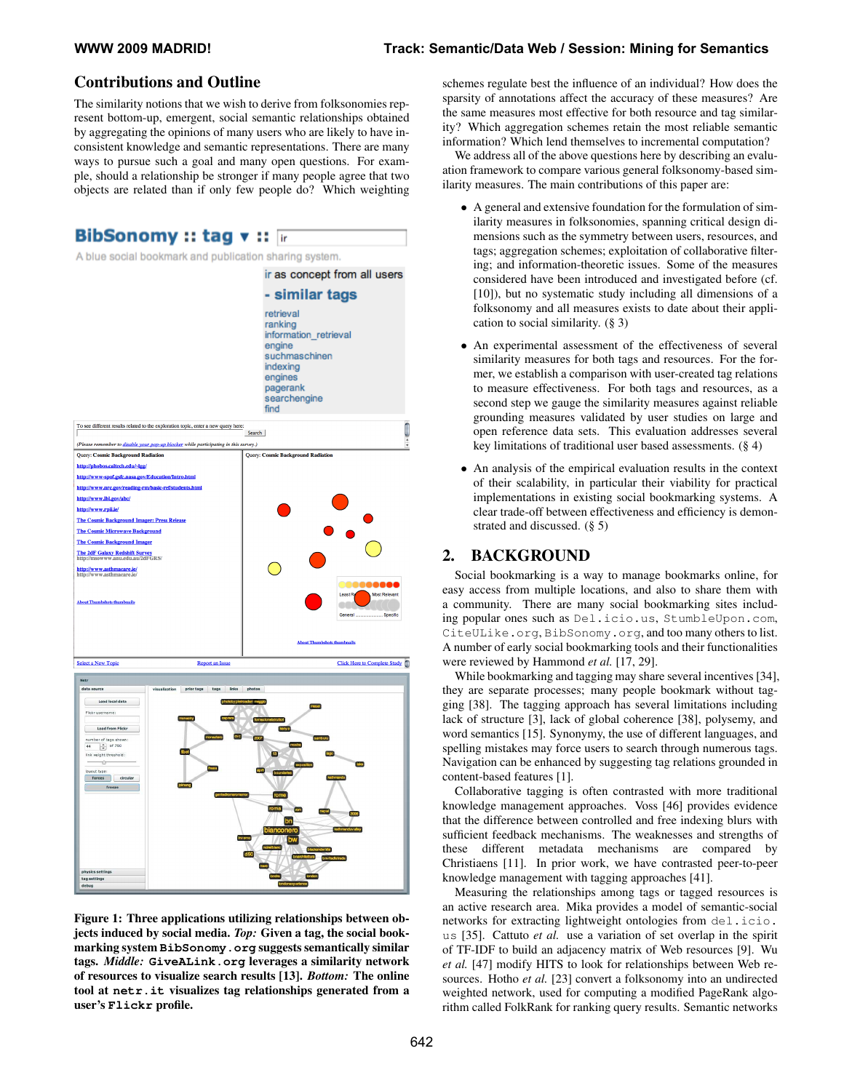# Contributions and Outline

The similarity notions that we wish to derive from folksonomies represent bottom-up, emergent, social semantic relationships obtained by aggregating the opinions of many users who are likely to have inconsistent knowledge and semantic representations. There are many ways to pursue such a goal and many open questions. For example, should a relationship be stronger if many people agree that two objects are related than if only few people do? Which weighting





Figure 1: Three applications utilizing relationships between objects induced by social media. *Top:* Given a tag, the social bookmarking system **BibSonomy.org** suggests semantically similar tags. *Middle:* **GiveALink.org** leverages a similarity network of resources to visualize search results [13]. *Bottom:* The online tool at **netr.it** visualizes tag relationships generated from a user's **Flickr** profile.

schemes regulate best the influence of an individual? How does the sparsity of annotations affect the accuracy of these measures? Are the same measures most effective for both resource and tag similarity? Which aggregation schemes retain the most reliable semantic information? Which lend themselves to incremental computation?

We address all of the above questions here by describing an evaluation framework to compare various general folksonomy-based similarity measures. The main contributions of this paper are:

- A general and extensive foundation for the formulation of similarity measures in folksonomies, spanning critical design dimensions such as the symmetry between users, resources, and tags; aggregation schemes; exploitation of collaborative filtering; and information-theoretic issues. Some of the measures considered have been introduced and investigated before (cf. [10]), but no systematic study including all dimensions of a folksonomy and all measures exists to date about their application to social similarity. (§ 3)
- An experimental assessment of the effectiveness of several similarity measures for both tags and resources. For the former, we establish a comparison with user-created tag relations to measure effectiveness. For both tags and resources, as a second step we gauge the similarity measures against reliable grounding measures validated by user studies on large and open reference data sets. This evaluation addresses several key limitations of traditional user based assessments. (§ 4)
- An analysis of the empirical evaluation results in the context of their scalability, in particular their viability for practical implementations in existing social bookmarking systems. A clear trade-off between effectiveness and efficiency is demonstrated and discussed. (§ 5)

# 2. BACKGROUND

Social bookmarking is a way to manage bookmarks online, for easy access from multiple locations, and also to share them with a community. There are many social bookmarking sites including popular ones such as Del.icio.us, StumbleUpon.com, CiteULike.org, BibSonomy.org, and too many others to list. A number of early social bookmarking tools and their functionalities were reviewed by Hammond *et al.* [17, 29].

While bookmarking and tagging may share several incentives [34], they are separate processes; many people bookmark without tagging [38]. The tagging approach has several limitations including lack of structure [3], lack of global coherence [38], polysemy, and word semantics [15]. Synonymy, the use of different languages, and spelling mistakes may force users to search through numerous tags. Navigation can be enhanced by suggesting tag relations grounded in content-based features [1].

Collaborative tagging is often contrasted with more traditional knowledge management approaches. Voss [46] provides evidence that the difference between controlled and free indexing blurs with sufficient feedback mechanisms. The weaknesses and strengths of these different metadata mechanisms are compared by Christiaens [11]. In prior work, we have contrasted peer-to-peer knowledge management with tagging approaches [41].

Measuring the relationships among tags or tagged resources is an active research area. Mika provides a model of semantic-social networks for extracting lightweight ontologies from del.icio. us [35]. Cattuto *et al.* use a variation of set overlap in the spirit of TF-IDF to build an adjacency matrix of Web resources [9]. Wu *et al.* [47] modify HITS to look for relationships between Web resources. Hotho *et al.* [23] convert a folksonomy into an undirected weighted network, used for computing a modified PageRank algorithm called FolkRank for ranking query results. Semantic networks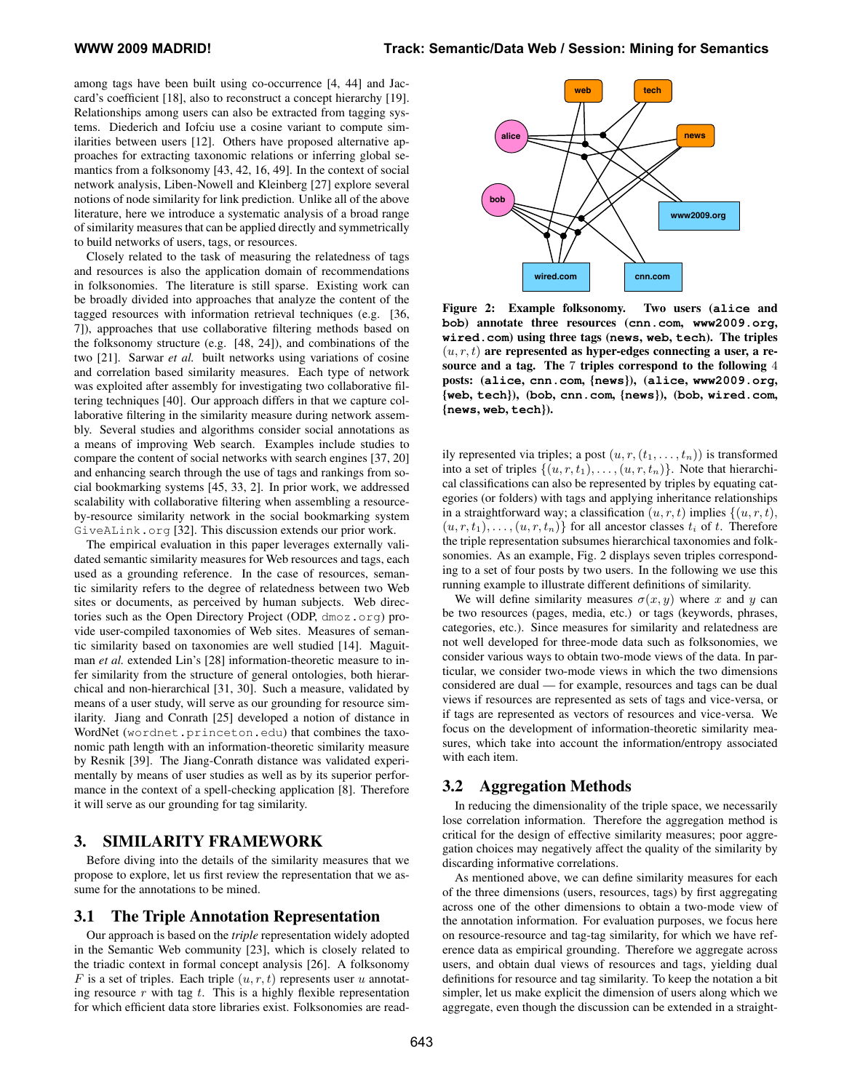among tags have been built using co-occurrence [4, 44] and Jaccard's coefficient [18], also to reconstruct a concept hierarchy [19]. Relationships among users can also be extracted from tagging systems. Diederich and Iofciu use a cosine variant to compute similarities between users [12]. Others have proposed alternative approaches for extracting taxonomic relations or inferring global semantics from a folksonomy [43, 42, 16, 49]. In the context of social network analysis, Liben-Nowell and Kleinberg [27] explore several notions of node similarity for link prediction. Unlike all of the above literature, here we introduce a systematic analysis of a broad range of similarity measures that can be applied directly and symmetrically to build networks of users, tags, or resources.

Closely related to the task of measuring the relatedness of tags and resources is also the application domain of recommendations in folksonomies. The literature is still sparse. Existing work can be broadly divided into approaches that analyze the content of the tagged resources with information retrieval techniques (e.g. [36, 7]), approaches that use collaborative filtering methods based on the folksonomy structure (e.g. [48, 24]), and combinations of the two [21]. Sarwar *et al.* built networks using variations of cosine and correlation based similarity measures. Each type of network was exploited after assembly for investigating two collaborative filtering techniques [40]. Our approach differs in that we capture collaborative filtering in the similarity measure during network assembly. Several studies and algorithms consider social annotations as a means of improving Web search. Examples include studies to compare the content of social networks with search engines [37, 20] and enhancing search through the use of tags and rankings from social bookmarking systems [45, 33, 2]. In prior work, we addressed scalability with collaborative filtering when assembling a resourceby-resource similarity network in the social bookmarking system GiveALink.org [32]. This discussion extends our prior work.

The empirical evaluation in this paper leverages externally validated semantic similarity measures for Web resources and tags, each used as a grounding reference. In the case of resources, semantic similarity refers to the degree of relatedness between two Web sites or documents, as perceived by human subjects. Web directories such as the Open Directory Project (ODP, dmoz.org) provide user-compiled taxonomies of Web sites. Measures of semantic similarity based on taxonomies are well studied [14]. Maguitman *et al.* extended Lin's [28] information-theoretic measure to infer similarity from the structure of general ontologies, both hierarchical and non-hierarchical [31, 30]. Such a measure, validated by means of a user study, will serve as our grounding for resource similarity. Jiang and Conrath [25] developed a notion of distance in WordNet (wordnet.princeton.edu) that combines the taxonomic path length with an information-theoretic similarity measure by Resnik [39]. The Jiang-Conrath distance was validated experimentally by means of user studies as well as by its superior performance in the context of a spell-checking application [8]. Therefore it will serve as our grounding for tag similarity.

### 3. SIMILARITY FRAMEWORK

Before diving into the details of the similarity measures that we propose to explore, let us first review the representation that we assume for the annotations to be mined.

#### 3.1 The Triple Annotation Representation

Our approach is based on the *triple* representation widely adopted in the Semantic Web community [23], which is closely related to the triadic context in formal concept analysis [26]. A folksonomy F is a set of triples. Each triple  $(u, r, t)$  represents user u annotating resource  $r$  with tag  $t$ . This is a highly flexible representation for which efficient data store libraries exist. Folksonomies are read-



Figure 2: Example folksonomy. Two users (**alice** and **bob**) annotate three resources (**cnn.com**, **www2009.org**, **wired.com**) using three tags (**news**, **web**, **tech**). The triples  $(u, r, t)$  are represented as hyper-edges connecting a user, a resource and a tag. The 7 triples correspond to the following 4 posts: (**alice**, **cnn.com**, {**news**}), (**alice**, **www2009.org**, {**web**, **tech**}), (**bob**, **cnn.com**, {**news**}), (**bob**, **wired.com**, {**news**, **web**, **tech**}).

ily represented via triples; a post  $(u, r, (t_1, \ldots, t_n))$  is transformed into a set of triples  $\{(u, r, t_1), \ldots, (u, r, t_n)\}\$ . Note that hierarchical classifications can also be represented by triples by equating categories (or folders) with tags and applying inheritance relationships in a straightforward way; a classification  $(u, r, t)$  implies  $\{(u, r, t),$  $(u, r, t_1), \ldots, (u, r, t_n)$  for all ancestor classes  $t_i$  of t. Therefore the triple representation subsumes hierarchical taxonomies and folksonomies. As an example, Fig. 2 displays seven triples corresponding to a set of four posts by two users. In the following we use this running example to illustrate different definitions of similarity.

We will define similarity measures  $\sigma(x, y)$  where x and y can be two resources (pages, media, etc.) or tags (keywords, phrases, categories, etc.). Since measures for similarity and relatedness are not well developed for three-mode data such as folksonomies, we consider various ways to obtain two-mode views of the data. In particular, we consider two-mode views in which the two dimensions considered are dual — for example, resources and tags can be dual views if resources are represented as sets of tags and vice-versa, or if tags are represented as vectors of resources and vice-versa. We focus on the development of information-theoretic similarity measures, which take into account the information/entropy associated with each item.

#### 3.2 Aggregation Methods

In reducing the dimensionality of the triple space, we necessarily lose correlation information. Therefore the aggregation method is critical for the design of effective similarity measures; poor aggregation choices may negatively affect the quality of the similarity by discarding informative correlations.

As mentioned above, we can define similarity measures for each of the three dimensions (users, resources, tags) by first aggregating across one of the other dimensions to obtain a two-mode view of the annotation information. For evaluation purposes, we focus here on resource-resource and tag-tag similarity, for which we have reference data as empirical grounding. Therefore we aggregate across users, and obtain dual views of resources and tags, yielding dual definitions for resource and tag similarity. To keep the notation a bit simpler, let us make explicit the dimension of users along which we aggregate, even though the discussion can be extended in a straight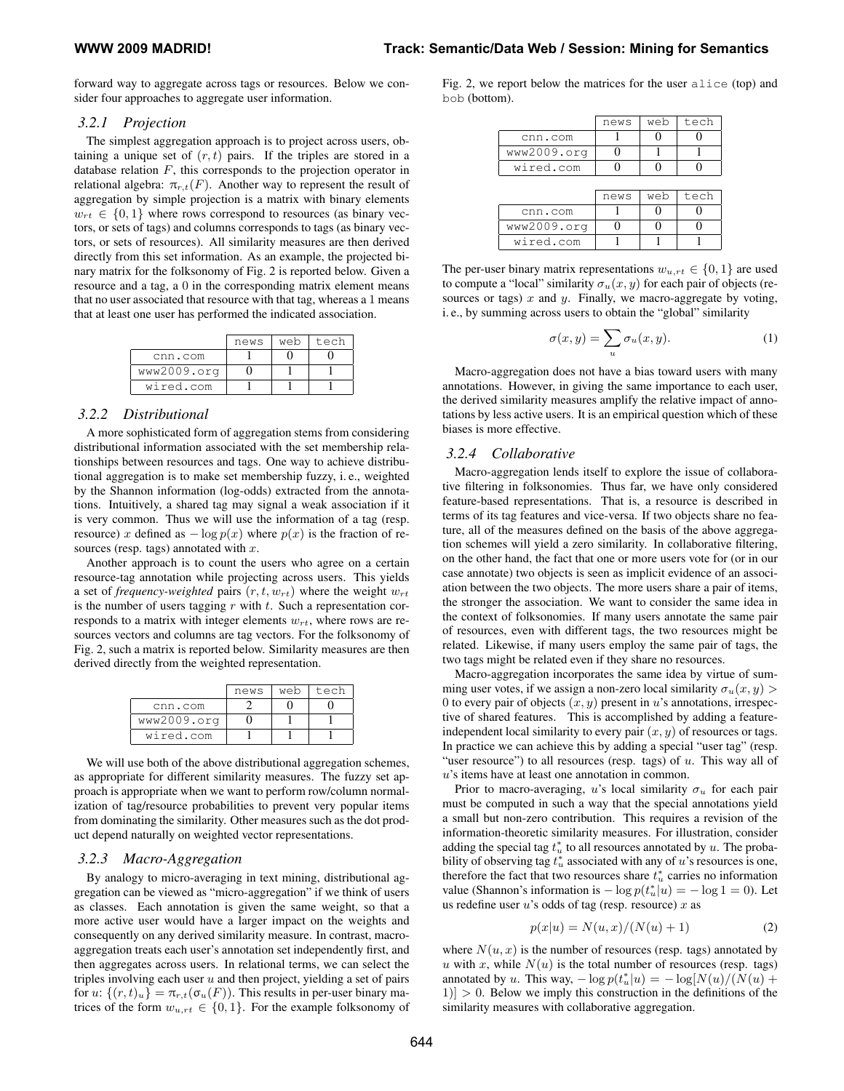forward way to aggregate across tags or resources. Below we consider four approaches to aggregate user information.

#### *3.2.1 Projection*

The simplest aggregation approach is to project across users, obtaining a unique set of  $(r, t)$  pairs. If the triples are stored in a database relation  $F$ , this corresponds to the projection operator in relational algebra:  $\pi_{r,t}(F)$ . Another way to represent the result of aggregation by simple projection is a matrix with binary elements  $w_{rt} \in \{0, 1\}$  where rows correspond to resources (as binary vectors, or sets of tags) and columns corresponds to tags (as binary vectors, or sets of resources). All similarity measures are then derived directly from this set information. As an example, the projected binary matrix for the folksonomy of Fig. 2 is reported below. Given a resource and a tag, a 0 in the corresponding matrix element means that no user associated that resource with that tag, whereas a 1 means that at least one user has performed the indicated association.

|             | news | web | tech |
|-------------|------|-----|------|
| cnn.com     |      |     |      |
| www2009.org |      |     |      |
| wired.com   |      |     |      |

#### *3.2.2 Distributional*

A more sophisticated form of aggregation stems from considering distributional information associated with the set membership relationships between resources and tags. One way to achieve distributional aggregation is to make set membership fuzzy, i. e., weighted by the Shannon information (log-odds) extracted from the annotations. Intuitively, a shared tag may signal a weak association if it is very common. Thus we will use the information of a tag (resp. resource) x defined as  $-\log p(x)$  where  $p(x)$  is the fraction of resources (resp. tags) annotated with  $x$ .

Another approach is to count the users who agree on a certain resource-tag annotation while projecting across users. This yields a set of *frequency-weighted* pairs  $(r, t, w_{rt})$  where the weight  $w_{rt}$ is the number of users tagging  $r$  with  $t$ . Such a representation corresponds to a matrix with integer elements  $w_{rt}$ , where rows are resources vectors and columns are tag vectors. For the folksonomy of Fig. 2, such a matrix is reported below. Similarity measures are then derived directly from the weighted representation.

|             | news | web | tech |
|-------------|------|-----|------|
| cnn.com     |      |     |      |
| www2009.org |      |     |      |
| wired.com   |      |     |      |

We will use both of the above distributional aggregation schemes, as appropriate for different similarity measures. The fuzzy set approach is appropriate when we want to perform row/column normalization of tag/resource probabilities to prevent very popular items from dominating the similarity. Other measures such as the dot product depend naturally on weighted vector representations.

#### *3.2.3 Macro-Aggregation*

By analogy to micro-averaging in text mining, distributional aggregation can be viewed as "micro-aggregation" if we think of users as classes. Each annotation is given the same weight, so that a more active user would have a larger impact on the weights and consequently on any derived similarity measure. In contrast, macroaggregation treats each user's annotation set independently first, and then aggregates across users. In relational terms, we can select the triples involving each user  $u$  and then project, yielding a set of pairs for u:  $\{(r, t)<sub>u</sub>\} = \pi_{r,t}(\sigma_u(F))$ . This results in per-user binary matrices of the form  $w_{u,rt} \in \{0,1\}$ . For the example folksonomy of Fig. 2, we report below the matrices for the user alice (top) and bob (bottom).

|             | news | web | tech |
|-------------|------|-----|------|
| cnn.com     |      |     |      |
| www2009.org |      |     |      |
| wired.com   |      |     |      |
|             |      |     |      |
|             | news | web | tech |
|             |      |     |      |

www2009.org 0 0 0 wired.com  $1 \mid 1 \mid 1$ 

The per-user binary matrix representations  $w_{u,rt} \in \{0,1\}$  are used to compute a "local" similarity  $\sigma_u(x, y)$  for each pair of objects (resources or tags)  $x$  and  $y$ . Finally, we macro-aggregate by voting, i. e., by summing across users to obtain the "global" similarity

$$
\sigma(x,y) = \sum_{u} \sigma_u(x,y). \tag{1}
$$

Macro-aggregation does not have a bias toward users with many annotations. However, in giving the same importance to each user, the derived similarity measures amplify the relative impact of annotations by less active users. It is an empirical question which of these biases is more effective.

#### *3.2.4 Collaborative*

Macro-aggregation lends itself to explore the issue of collaborative filtering in folksonomies. Thus far, we have only considered feature-based representations. That is, a resource is described in terms of its tag features and vice-versa. If two objects share no feature, all of the measures defined on the basis of the above aggregation schemes will yield a zero similarity. In collaborative filtering, on the other hand, the fact that one or more users vote for (or in our case annotate) two objects is seen as implicit evidence of an association between the two objects. The more users share a pair of items, the stronger the association. We want to consider the same idea in the context of folksonomies. If many users annotate the same pair of resources, even with different tags, the two resources might be related. Likewise, if many users employ the same pair of tags, the two tags might be related even if they share no resources.

Macro-aggregation incorporates the same idea by virtue of summing user votes, if we assign a non-zero local similarity  $\sigma_u(x, y)$ 0 to every pair of objects  $(x, y)$  present in u's annotations, irrespective of shared features. This is accomplished by adding a featureindependent local similarity to every pair  $(x, y)$  of resources or tags. In practice we can achieve this by adding a special "user tag" (resp. "user resource") to all resources (resp. tags) of  $u$ . This way all of u's items have at least one annotation in common.

Prior to macro-averaging, u's local similarity  $\sigma_u$  for each pair must be computed in such a way that the special annotations yield a small but non-zero contribution. This requires a revision of the information-theoretic similarity measures. For illustration, consider adding the special tag  $t<sub>u</sub><sup>*</sup>$  to all resources annotated by u. The probability of observing tag  $t<sub>u</sub><sup>*</sup>$  associated with any of u's resources is one, therefore the fact that two resources share  $t<sub>u</sub><sup>*</sup>$  carries no information value (Shannon's information is  $-\log p(t_u^*|u) = -\log 1 = 0$ ). Let us redefine user  $u$ 's odds of tag (resp. resource) x as

$$
p(x|u) = N(u,x)/(N(u) + 1)
$$
 (2)

where  $N(u, x)$  is the number of resources (resp. tags) annotated by u with x, while  $N(u)$  is the total number of resources (resp. tags) annotated by u. This way,  $-\log p(t_u^*|u) = -\log [N(u)/(N(u) +$  $|1\rangle$  > 0. Below we imply this construction in the definitions of the similarity measures with collaborative aggregation.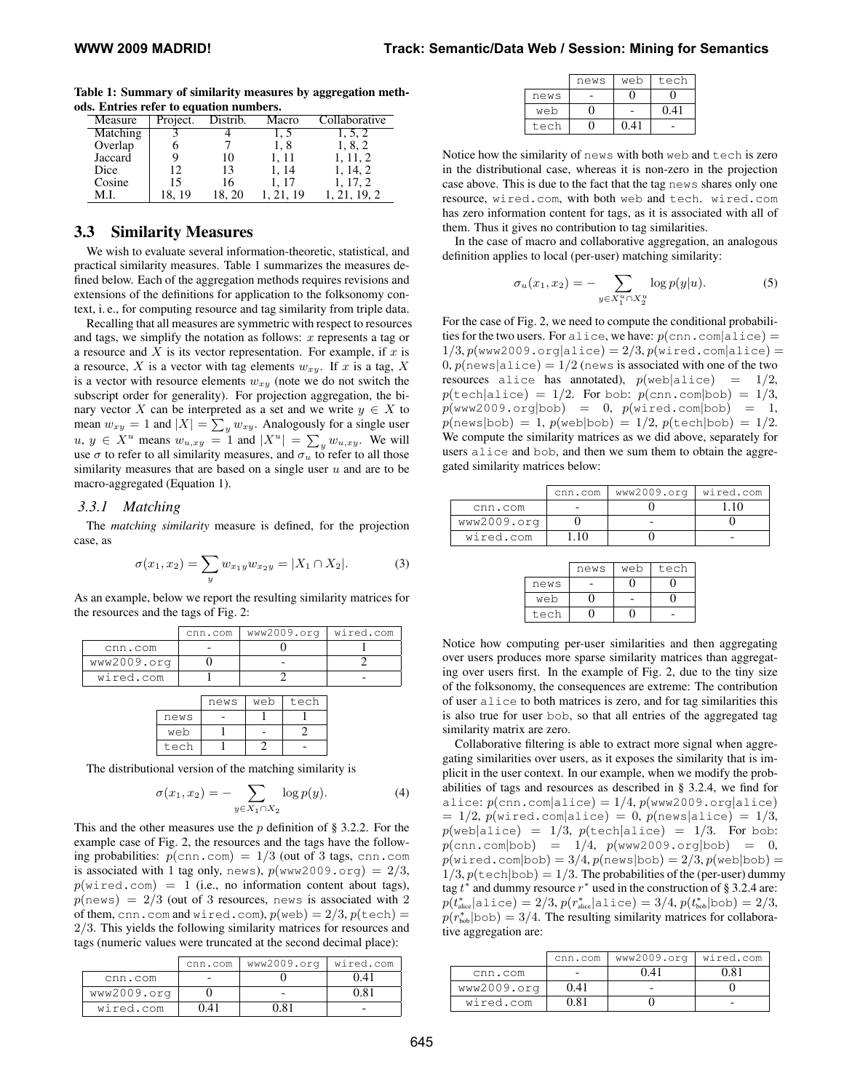| Measure  | Project. | Distrib. | Macro     | Collaborative |
|----------|----------|----------|-----------|---------------|
| Matching |          |          | $\cdot$ . | 1, 5, 2       |
| Overlap  |          |          | 1.8       | 1, 8, 2       |
| Jaccard  |          | 10       | 1, 11     | 1, 11, 2      |
| Dice     | 12       | 13       | 1, 14     | 1, 14, 2      |
| Cosine   | 15       | 16       | 1. 17     | 1, 17, 2      |
| МT       | 18, 19   | 18, 20   | 1.21.19   | 1, 21, 19, 2  |

Table 1: Summary of similarity measures by aggregation methods. Entries refer to equation numbers.

# 3.3 Similarity Measures

We wish to evaluate several information-theoretic, statistical, and practical similarity measures. Table 1 summarizes the measures defined below. Each of the aggregation methods requires revisions and extensions of the definitions for application to the folksonomy context, i. e., for computing resource and tag similarity from triple data.

Recalling that all measures are symmetric with respect to resources and tags, we simplify the notation as follows:  $x$  represents a tag or a resource and X is its vector representation. For example, if  $x$  is a resource, X is a vector with tag elements  $w_{xy}$ . If x is a tag, X is a vector with resource elements  $w_{xy}$  (note we do not switch the subscript order for generality). For projection aggregation, the binary vector X can be interpreted as a set and we write  $y \in X$  to mean  $w_{xy} = 1$  and  $|X| = \sum_{y} w_{xy}$ . Analogously for a single user  $u, y \in X^u$  means  $w_{u, xy} = 1$  and  $|X^u| = \sum_y w_{u, xy}$ . We will use  $\sigma$  to refer to all similarity measures, and  $\sigma_u$  to refer to all those similarity measures that are based on a single user  $u$  and are to be macro-aggregated (Equation 1).

#### *3.3.1 Matching*

The *matching similarity* measure is defined, for the projection case, as

$$
\sigma(x_1, x_2) = \sum_{y} w_{x_1y} w_{x_2y} = |X_1 \cap X_2|.
$$
 (3)

As an example, below we report the resulting similarity matrices for the resources and the tags of Fig. 2:

|             | cnn.com | www2009.org | wired.com |
|-------------|---------|-------------|-----------|
| cnn.com     |         |             |           |
| www2009.org |         |             |           |
| wired.com   |         |             |           |

|      | news | web | tech |
|------|------|-----|------|
| news |      |     |      |
| web  |      |     |      |
| tech |      |     |      |

The distributional version of the matching similarity is

$$
\sigma(x_1, x_2) = - \sum_{y \in X_1 \cap X_2} \log p(y). \tag{4}
$$

This and the other measures use the  $p$  definition of § 3.2.2. For the example case of Fig. 2, the resources and the tags have the following probabilities:  $p(\text{cnn.com}) = 1/3$  (out of 3 tags, cnn.com is associated with 1 tag only, news),  $p(\text{www2009.org}) = 2/3$ ,  $p(\text{wired.com}) = 1$  (i.e., no information content about tags),  $p(news) = 2/3$  (out of 3 resources, news is associated with 2 of them, cnn.com and wired.com),  $p(web) = 2/3$ ,  $p(tech) =$ 2/3. This yields the following similarity matrices for resources and tags (numeric values were truncated at the second decimal place):

|             | cnn.com | www2009.org | wired.com |
|-------------|---------|-------------|-----------|
| cnn.com     |         |             | 0.41      |
| www2009.org |         |             | 0.81      |
| wired.com   | 0.41    | O 81        |           |

|      | news | web  | tech |
|------|------|------|------|
| news |      |      |      |
| web  |      |      | 0.41 |
| tech |      | 0.41 |      |

Notice how the similarity of news with both web and tech is zero in the distributional case, whereas it is non-zero in the projection case above. This is due to the fact that the tag news shares only one resource, wired.com, with both web and tech. wired.com has zero information content for tags, as it is associated with all of them. Thus it gives no contribution to tag similarities.

In the case of macro and collaborative aggregation, an analogous definition applies to local (per-user) matching similarity:

$$
\sigma_u(x_1, x_2) = - \sum_{y \in X_1^u \cap X_2^u} \log p(y|u). \tag{5}
$$

For the case of Fig. 2, we need to compute the conditional probabilities for the two users. For alice, we have:  $p(\text{cnn.com}|\text{alice}) =$  $1/3, p(www2009.org|alice) = 2/3, p(wired.com|alice) =$  $0, p$ (news|alice) =  $1/2$  (news is associated with one of the two resources alice has annotated),  $p(web|alice) = 1/2$ ,  $p(\text{techn}) = 1/2$ . For bob:  $p(\text{cnn.com}|\text{bob}) = 1/3$ ,  $p(\text{www2009.org}|\text{bob}) = 0, p(\text{wired.com}|\text{bob}) = 1,$  $p(\text{news}|\text{bob}) = 1$ ,  $p(\text{web}|\text{bob}) = 1/2$ ,  $p(\text{tech}|\text{bob}) = 1/2$ . We compute the similarity matrices as we did above, separately for users alice and bob, and then we sum them to obtain the aggregated similarity matrices below:

|             | cnn.com | www2009.org | wired.com |
|-------------|---------|-------------|-----------|
| cnn.com     |         |             |           |
| www2009.org |         |             |           |
| wired.com   |         |             |           |

|      | news | web | tech |
|------|------|-----|------|
| news |      |     |      |
| web  |      |     |      |
| tech |      |     |      |

Notice how computing per-user similarities and then aggregating over users produces more sparse similarity matrices than aggregating over users first. In the example of Fig. 2, due to the tiny size of the folksonomy, the consequences are extreme: The contribution of user alice to both matrices is zero, and for tag similarities this is also true for user bob, so that all entries of the aggregated tag similarity matrix are zero.

Collaborative filtering is able to extract more signal when aggregating similarities over users, as it exposes the similarity that is implicit in the user context. In our example, when we modify the probabilities of tags and resources as described in § 3.2.4, we find for alice:  $p(\text{cnn.com}|\text{alice}) = 1/4, p(\text{www2009.org}|\text{alice})$  $= 1/2$ ,  $p(\text{wired.com}|\text{alice}) = 0$ ,  $p(\text{news}|\text{alice}) = 1/3$ ,  $p(\text{web}|\text{alice}) = 1/3$ ,  $p(\text{techn}|\text{alice}) = 1/3$ . For bob:  $p(\text{cnn.com}|\text{bob}) = 1/4, p(\text{www2009.org}|\text{bob}) = 0,$  $p(\text{wired.com}|\text{bob}) = 3/4, p(\text{news}|\text{bob}) = 2/3, p(\text{web}|\text{bob}) =$  $1/3$ ,  $p(\text{tech}| \text{bob}) = 1/3$ . The probabilities of the (per-user) dummy tag  $t^*$  and dummy resource  $r^*$  used in the construction of § 3.2.4 are:  $p(\tilde{t}_{\scriptscriptstyle \rm Alice}^* | {\scriptstyle \rm Alice}) = 2/3, p(r_{\scriptscriptstyle \rm Alice}^* | {\scriptstyle \rm Alice}) = 3/4, p(t_{\scriptscriptstyle \rm bob}^* | {\scriptstyle \rm bob}) = 2/3,$  $p(r_{\text{bob}}^*|\text{bob}) = 3/4$ . The resulting similarity matrices for collaborative aggregation are:

|             | cnn.com | www2009.org | wired.com |
|-------------|---------|-------------|-----------|
| cnn.com     |         | 0.41        | O 81      |
| www2009.org | 0.41    |             |           |
| wired.com   | O 81    |             |           |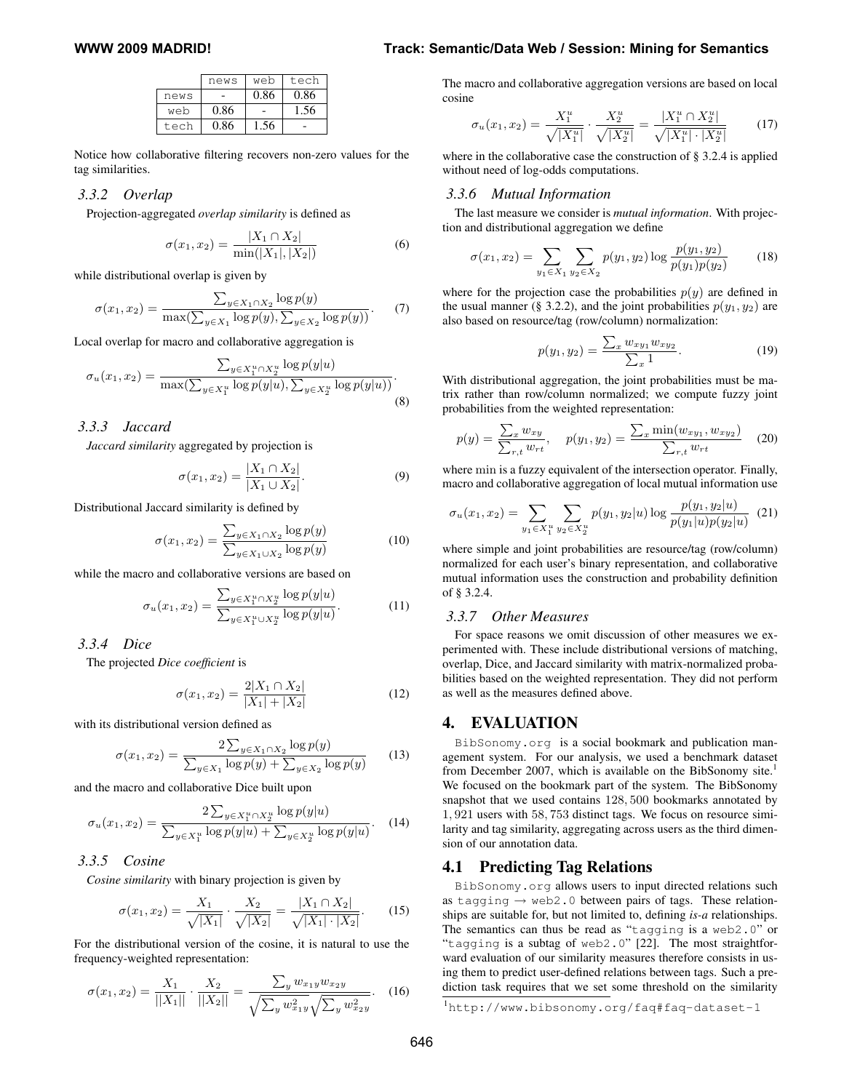|  |      | news | web  | tech |
|--|------|------|------|------|
|  | news |      | 0.86 | 0.86 |
|  | web  | 0.86 |      | 1.56 |
|  | tech |      | 56   |      |

Notice how collaborative filtering recovers non-zero values for the tag similarities.

#### *3.3.2 Overlap*

Projection-aggregated *overlap similarity* is defined as

$$
\sigma(x_1, x_2) = \frac{|X_1 \cap X_2|}{\min(|X_1|, |X_2|)}\tag{6}
$$

while distributional overlap is given by

$$
\sigma(x_1, x_2) = \frac{\sum_{y \in X_1 \cap X_2} \log p(y)}{\max(\sum_{y \in X_1} \log p(y), \sum_{y \in X_2} \log p(y))}.
$$
 (7)

Local overlap for macro and collaborative aggregation is

$$
\sigma_u(x_1, x_2) = \frac{\sum_{y \in X_1^u \cap X_2^u} \log p(y|u)}{\max(\sum_{y \in X_1^u} \log p(y|u), \sum_{y \in X_2^u} \log p(y|u))}.
$$
\n(8)

*3.3.3 Jaccard*

*Jaccard similarity* aggregated by projection is

$$
\sigma(x_1, x_2) = \frac{|X_1 \cap X_2|}{|X_1 \cup X_2|}.
$$
\n(9)

Distributional Jaccard similarity is defined by

$$
\sigma(x_1, x_2) = \frac{\sum_{y \in X_1 \cap X_2} \log p(y)}{\sum_{y \in X_1 \cup X_2} \log p(y)}
$$
(10)

while the macro and collaborative versions are based on

$$
\sigma_u(x_1, x_2) = \frac{\sum_{y \in X_1^u \cap X_2^u} \log p(y|u)}{\sum_{y \in X_1^u \cup X_2^u} \log p(y|u)}.
$$
(11)

*3.3.4 Dice*

The projected *Dice coefficient* is

$$
\sigma(x_1, x_2) = \frac{2|X_1 \cap X_2|}{|X_1| + |X_2|} \tag{12}
$$

with its distributional version defined as

$$
\sigma(x_1, x_2) = \frac{2\sum_{y \in X_1 \cap X_2} \log p(y)}{\sum_{y \in X_1} \log p(y) + \sum_{y \in X_2} \log p(y)} \tag{13}
$$

and the macro and collaborative Dice built upon

$$
\sigma_u(x_1, x_2) = \frac{2\sum_{y \in X_1^u \cap X_2^u} \log p(y|u)}{\sum_{y \in X_1^u} \log p(y|u) + \sum_{y \in X_2^u} \log p(y|u)}.
$$
 (14)

#### *3.3.5 Cosine*

*Cosine similarity* with binary projection is given by

$$
\sigma(x_1, x_2) = \frac{X_1}{\sqrt{|X_1|}} \cdot \frac{X_2}{\sqrt{|X_2|}} = \frac{|X_1 \cap X_2|}{\sqrt{|X_1| \cdot |X_2|}}.
$$
 (15)

For the distributional version of the cosine, it is natural to use the frequency-weighted representation:

$$
\sigma(x_1, x_2) = \frac{X_1}{||X_1||} \cdot \frac{X_2}{||X_2||} = \frac{\sum_y w_{x_1y} w_{x_2y}}{\sqrt{\sum_y w_{x_1y}^2} \sqrt{\sum_y w_{x_2y}^2}}.
$$
 (16)

The macro and collaborative aggregation versions are based on local cosine

$$
\sigma_u(x_1, x_2) = \frac{X_1^u}{\sqrt{|X_1^u|}} \cdot \frac{X_2^u}{\sqrt{|X_2^u|}} = \frac{|X_1^u \cap X_2^u|}{\sqrt{|X_1^u| \cdot |X_2^u|}} \tag{17}
$$

where in the collaborative case the construction of § 3.2.4 is applied without need of log-odds computations.

#### *3.3.6 Mutual Information*

The last measure we consider is *mutual information*. With projection and distributional aggregation we define

$$
\sigma(x_1, x_2) = \sum_{y_1 \in X_1} \sum_{y_2 \in X_2} p(y_1, y_2) \log \frac{p(y_1, y_2)}{p(y_1)p(y_2)} \tag{18}
$$

where for the projection case the probabilities  $p(y)$  are defined in the usual manner (§ 3.2.2), and the joint probabilities  $p(y_1, y_2)$  are also based on resource/tag (row/column) normalization:

$$
p(y_1, y_2) = \frac{\sum_x w_{xy_1} w_{xy_2}}{\sum_x 1}.
$$
 (19)

With distributional aggregation, the joint probabilities must be matrix rather than row/column normalized; we compute fuzzy joint probabilities from the weighted representation:

$$
p(y) = \frac{\sum_{x} w_{xy}}{\sum_{r,t} w_{rt}}, \quad p(y_1, y_2) = \frac{\sum_{x} \min(w_{xy_1}, w_{xy_2})}{\sum_{r,t} w_{rt}} \quad (20)
$$

where min is a fuzzy equivalent of the intersection operator. Finally, macro and collaborative aggregation of local mutual information use

$$
\sigma_u(x_1, x_2) = \sum_{y_1 \in X_1^u} \sum_{y_2 \in X_2^u} p(y_1, y_2 | u) \log \frac{p(y_1, y_2 | u)}{p(y_1 | u) p(y_2 | u)} \tag{21}
$$

where simple and joint probabilities are resource/tag (row/column) normalized for each user's binary representation, and collaborative mutual information uses the construction and probability definition of § 3.2.4.

#### *3.3.7 Other Measures*

For space reasons we omit discussion of other measures we experimented with. These include distributional versions of matching, overlap, Dice, and Jaccard similarity with matrix-normalized probabilities based on the weighted representation. They did not perform as well as the measures defined above.

### 4. EVALUATION

BibSonomy.org is a social bookmark and publication management system. For our analysis, we used a benchmark dataset from December 2007, which is available on the BibSonomy site.<sup>1</sup> We focused on the bookmark part of the system. The BibSonomy snapshot that we used contains 128, 500 bookmarks annotated by 1, 921 users with 58, 753 distinct tags. We focus on resource similarity and tag similarity, aggregating across users as the third dimension of our annotation data.

#### 4.1 Predicting Tag Relations

BibSonomy.org allows users to input directed relations such as tagging  $\rightarrow$  web2.0 between pairs of tags. These relationships are suitable for, but not limited to, defining *is-a* relationships. The semantics can thus be read as "tagging is a web2.0" or "tagging is a subtag of web2.0" [22]. The most straightforward evaluation of our similarity measures therefore consists in using them to predict user-defined relations between tags. Such a prediction task requires that we set some threshold on the similarity

<sup>1</sup>http://www.bibsonomy.org/faq#faq-dataset-1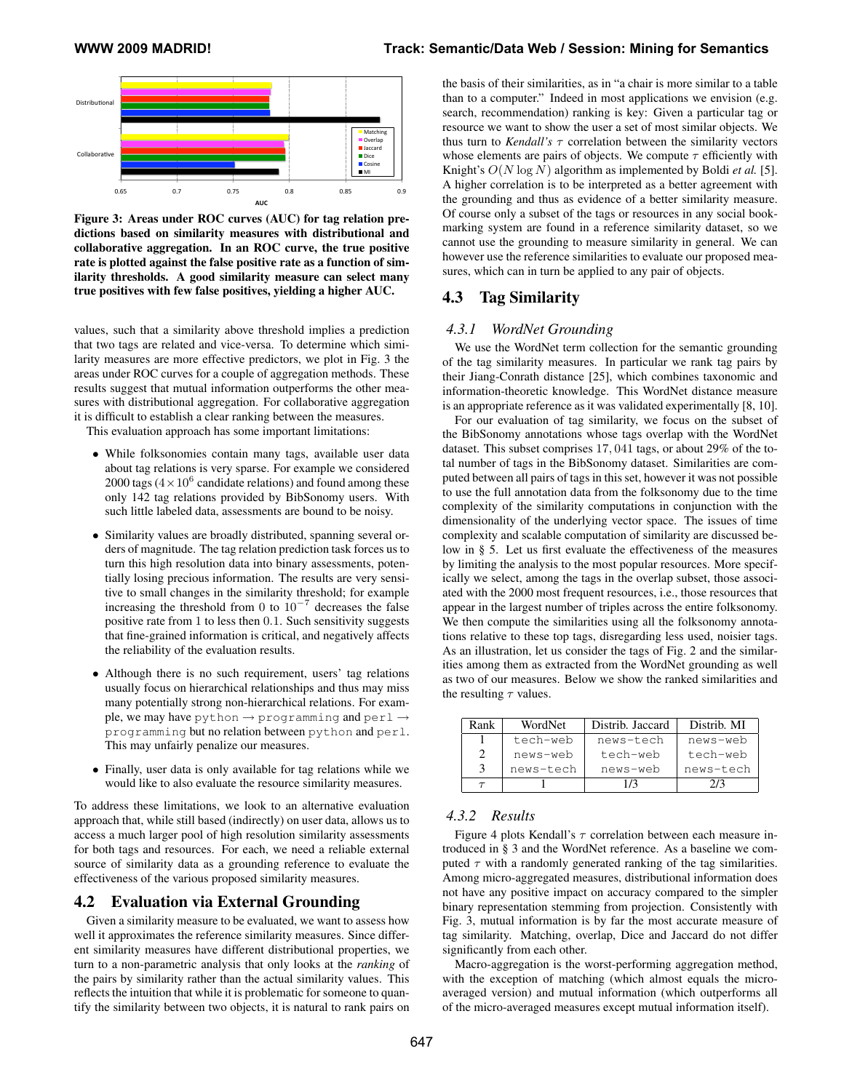

Figure 3: Areas under ROC curves (AUC) for tag relation predictions based on similarity measures with distributional and collaborative aggregation. In an ROC curve, the true positive rate is plotted against the false positive rate as a function of similarity thresholds. A good similarity measure can select many true positives with few false positives, yielding a higher AUC.

values, such that a similarity above threshold implies a prediction that two tags are related and vice-versa. To determine which similarity measures are more effective predictors, we plot in Fig. 3 the areas under ROC curves for a couple of aggregation methods. These results suggest that mutual information outperforms the other measures with distributional aggregation. For collaborative aggregation it is difficult to establish a clear ranking between the measures.

This evaluation approach has some important limitations:

- While folksonomies contain many tags, available user data about tag relations is very sparse. For example we considered 2000 tags ( $4 \times 10^6$  candidate relations) and found among these only 142 tag relations provided by BibSonomy users. With such little labeled data, assessments are bound to be noisy.
- Similarity values are broadly distributed, spanning several orders of magnitude. The tag relation prediction task forces us to turn this high resolution data into binary assessments, potentially losing precious information. The results are very sensitive to small changes in the similarity threshold; for example increasing the threshold from 0 to  $10^{-7}$  decreases the false positive rate from 1 to less then 0.1. Such sensitivity suggests that fine-grained information is critical, and negatively affects the reliability of the evaluation results.
- Although there is no such requirement, users' tag relations usually focus on hierarchical relationships and thus may miss many potentially strong non-hierarchical relations. For example, we may have python  $\rightarrow$  programming and perl  $\rightarrow$ programming but no relation between python and perl. This may unfairly penalize our measures.
- Finally, user data is only available for tag relations while we would like to also evaluate the resource similarity measures.

To address these limitations, we look to an alternative evaluation approach that, while still based (indirectly) on user data, allows us to access a much larger pool of high resolution similarity assessments for both tags and resources. For each, we need a reliable external source of similarity data as a grounding reference to evaluate the effectiveness of the various proposed similarity measures.

### 4.2 Evaluation via External Grounding

Given a similarity measure to be evaluated, we want to assess how well it approximates the reference similarity measures. Since different similarity measures have different distributional properties, we turn to a non-parametric analysis that only looks at the *ranking* of the pairs by similarity rather than the actual similarity values. This reflects the intuition that while it is problematic for someone to quantify the similarity between two objects, it is natural to rank pairs on the basis of their similarities, as in "a chair is more similar to a table than to a computer." Indeed in most applications we envision (e.g. search, recommendation) ranking is key: Given a particular tag or resource we want to show the user a set of most similar objects. We thus turn to *Kendall's*  $\tau$  correlation between the similarity vectors whose elements are pairs of objects. We compute  $\tau$  efficiently with Knight's O(N log N) algorithm as implemented by Boldi *et al.* [5]. A higher correlation is to be interpreted as a better agreement with the grounding and thus as evidence of a better similarity measure. Of course only a subset of the tags or resources in any social bookmarking system are found in a reference similarity dataset, so we cannot use the grounding to measure similarity in general. We can however use the reference similarities to evaluate our proposed measures, which can in turn be applied to any pair of objects.

### 4.3 Tag Similarity

#### *4.3.1 WordNet Grounding*

We use the WordNet term collection for the semantic grounding of the tag similarity measures. In particular we rank tag pairs by their Jiang-Conrath distance [25], which combines taxonomic and information-theoretic knowledge. This WordNet distance measure is an appropriate reference as it was validated experimentally [8, 10].

For our evaluation of tag similarity, we focus on the subset of the BibSonomy annotations whose tags overlap with the WordNet dataset. This subset comprises 17, 041 tags, or about 29% of the total number of tags in the BibSonomy dataset. Similarities are computed between all pairs of tags in this set, however it was not possible to use the full annotation data from the folksonomy due to the time complexity of the similarity computations in conjunction with the dimensionality of the underlying vector space. The issues of time complexity and scalable computation of similarity are discussed below in § 5. Let us first evaluate the effectiveness of the measures by limiting the analysis to the most popular resources. More specifically we select, among the tags in the overlap subset, those associated with the 2000 most frequent resources, i.e., those resources that appear in the largest number of triples across the entire folksonomy. We then compute the similarities using all the folksonomy annotations relative to these top tags, disregarding less used, noisier tags. As an illustration, let us consider the tags of Fig. 2 and the similarities among them as extracted from the WordNet grounding as well as two of our measures. Below we show the ranked similarities and the resulting  $\tau$  values.

| Rank | WordNet   | Distrib. Jaccard | Distrib. MI |
|------|-----------|------------------|-------------|
|      | tech-web  | news-tech        | news-web    |
|      | news-web  | tech-web         | tech-web    |
|      | news-tech | news-web         | news-tech   |
|      |           |                  | フパ          |

#### *4.3.2 Results*

Figure 4 plots Kendall's  $\tau$  correlation between each measure introduced in § 3 and the WordNet reference. As a baseline we computed  $\tau$  with a randomly generated ranking of the tag similarities. Among micro-aggregated measures, distributional information does not have any positive impact on accuracy compared to the simpler binary representation stemming from projection. Consistently with Fig. 3, mutual information is by far the most accurate measure of tag similarity. Matching, overlap, Dice and Jaccard do not differ significantly from each other.

Macro-aggregation is the worst-performing aggregation method, with the exception of matching (which almost equals the microaveraged version) and mutual information (which outperforms all of the micro-averaged measures except mutual information itself).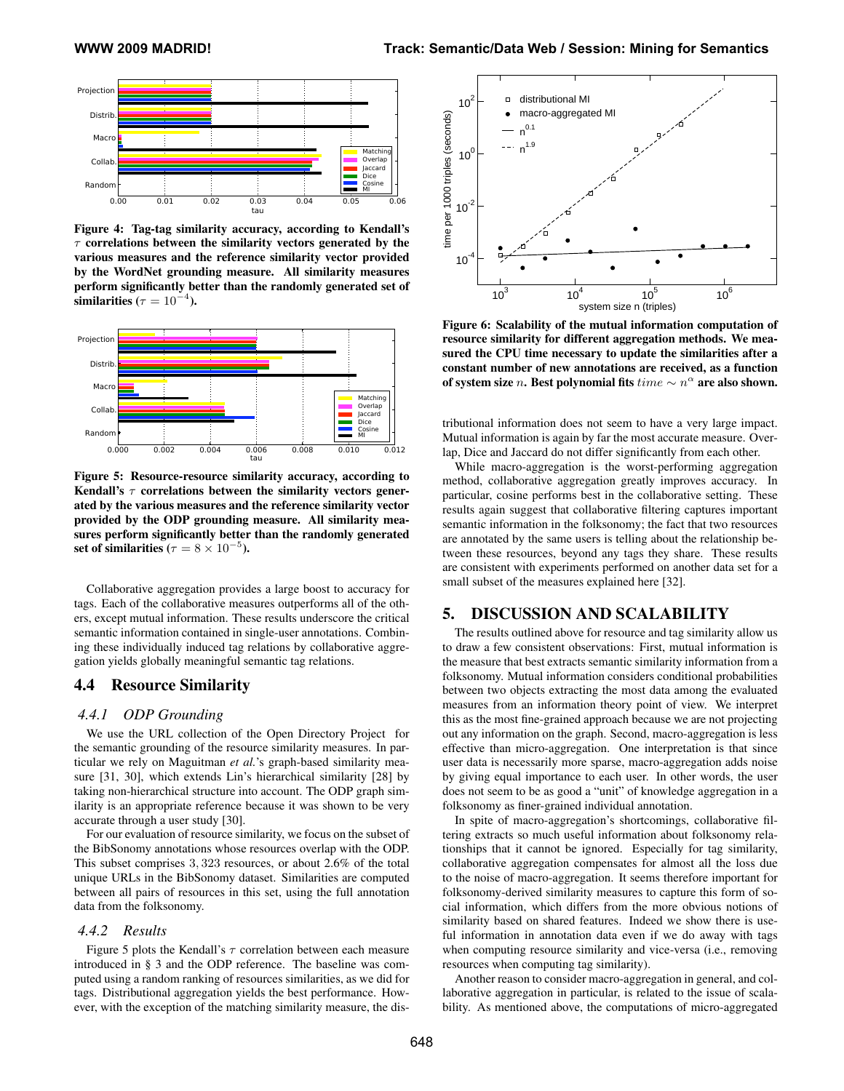

Figure 4: Tag-tag similarity accuracy, according to Kendall's  $\tau$  correlations between the similarity vectors generated by the various measures and the reference similarity vector provided by the WordNet grounding measure. All similarity measures perform significantly better than the randomly generated set of similarities ( $\tau = 10^{-4}$ ).



Figure 5: Resource-resource similarity accuracy, according to Kendall's  $\tau$  correlations between the similarity vectors generated by the various measures and the reference similarity vector provided by the ODP grounding measure. All similarity measures perform significantly better than the randomly generated set of similarities ( $\tau=8\times10^{-5}$ ).

Collaborative aggregation provides a large boost to accuracy for tags. Each of the collaborative measures outperforms all of the others, except mutual information. These results underscore the critical semantic information contained in single-user annotations. Combining these individually induced tag relations by collaborative aggregation yields globally meaningful semantic tag relations.

#### 4.4 Resource Similarity

#### *4.4.1 ODP Grounding*

We use the URL collection of the Open Directory Project for the semantic grounding of the resource similarity measures. In particular we rely on Maguitman *et al.*'s graph-based similarity measure [31, 30], which extends Lin's hierarchical similarity [28] by taking non-hierarchical structure into account. The ODP graph similarity is an appropriate reference because it was shown to be very accurate through a user study [30].

For our evaluation of resource similarity, we focus on the subset of the BibSonomy annotations whose resources overlap with the ODP. This subset comprises 3, 323 resources, or about 2.6% of the total unique URLs in the BibSonomy dataset. Similarities are computed between all pairs of resources in this set, using the full annotation data from the folksonomy.

#### *4.4.2 Results*

Figure 5 plots the Kendall's  $\tau$  correlation between each measure introduced in § 3 and the ODP reference. The baseline was computed using a random ranking of resources similarities, as we did for tags. Distributional aggregation yields the best performance. However, with the exception of the matching similarity measure, the dis-



Figure 6: Scalability of the mutual information computation of resource similarity for different aggregation methods. We measured the CPU time necessary to update the similarities after a constant number of new annotations are received, as a function of system size n. Best polynomial fits  $\it time \sim n^{\alpha}$  are also shown.

tributional information does not seem to have a very large impact. Mutual information is again by far the most accurate measure. Overlap, Dice and Jaccard do not differ significantly from each other.

While macro-aggregation is the worst-performing aggregation method, collaborative aggregation greatly improves accuracy. In particular, cosine performs best in the collaborative setting. These results again suggest that collaborative filtering captures important semantic information in the folksonomy; the fact that two resources are annotated by the same users is telling about the relationship between these resources, beyond any tags they share. These results are consistent with experiments performed on another data set for a small subset of the measures explained here [32].

### 5. DISCUSSION AND SCALABILITY

The results outlined above for resource and tag similarity allow us to draw a few consistent observations: First, mutual information is the measure that best extracts semantic similarity information from a folksonomy. Mutual information considers conditional probabilities between two objects extracting the most data among the evaluated measures from an information theory point of view. We interpret this as the most fine-grained approach because we are not projecting out any information on the graph. Second, macro-aggregation is less effective than micro-aggregation. One interpretation is that since user data is necessarily more sparse, macro-aggregation adds noise by giving equal importance to each user. In other words, the user does not seem to be as good a "unit" of knowledge aggregation in a folksonomy as finer-grained individual annotation.

In spite of macro-aggregation's shortcomings, collaborative filtering extracts so much useful information about folksonomy relationships that it cannot be ignored. Especially for tag similarity, collaborative aggregation compensates for almost all the loss due to the noise of macro-aggregation. It seems therefore important for folksonomy-derived similarity measures to capture this form of social information, which differs from the more obvious notions of similarity based on shared features. Indeed we show there is useful information in annotation data even if we do away with tags when computing resource similarity and vice-versa (i.e., removing resources when computing tag similarity).

Another reason to consider macro-aggregation in general, and collaborative aggregation in particular, is related to the issue of scalability. As mentioned above, the computations of micro-aggregated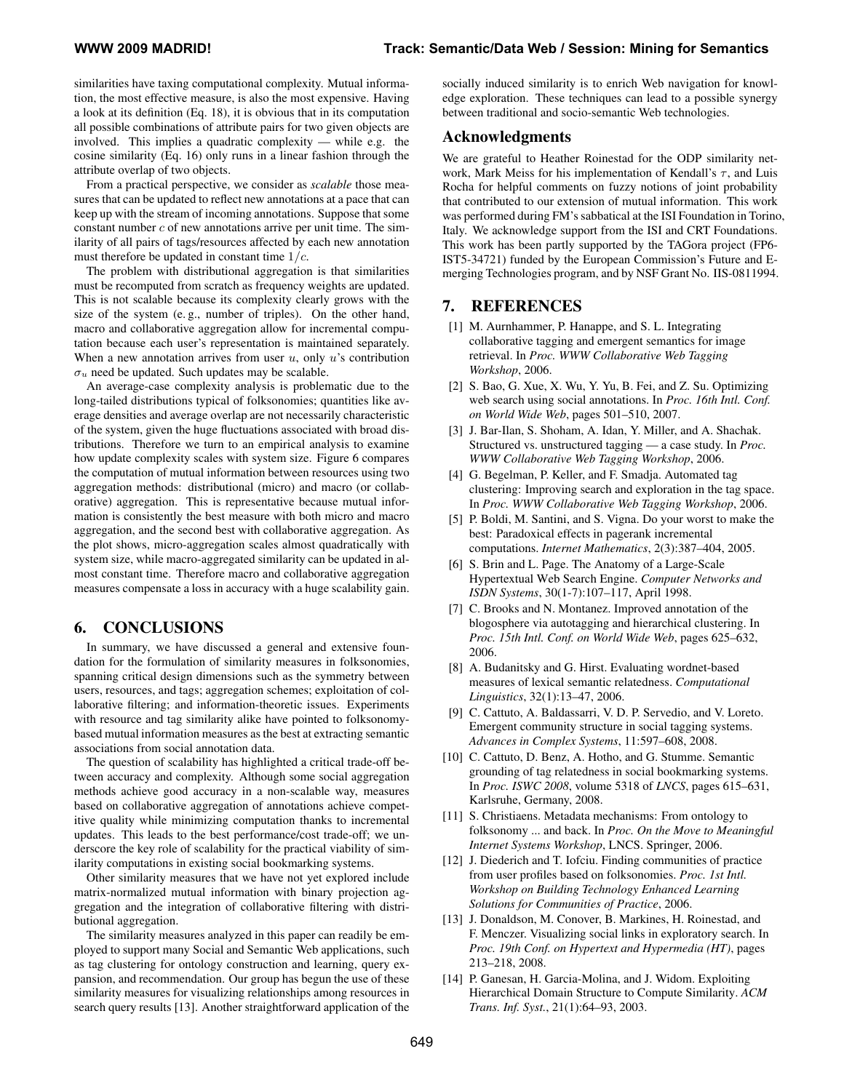similarities have taxing computational complexity. Mutual information, the most effective measure, is also the most expensive. Having a look at its definition (Eq. 18), it is obvious that in its computation all possible combinations of attribute pairs for two given objects are involved. This implies a quadratic complexity — while e.g. the cosine similarity (Eq. 16) only runs in a linear fashion through the attribute overlap of two objects.

From a practical perspective, we consider as *scalable* those measures that can be updated to reflect new annotations at a pace that can keep up with the stream of incoming annotations. Suppose that some constant number  $c$  of new annotations arrive per unit time. The similarity of all pairs of tags/resources affected by each new annotation must therefore be updated in constant time  $1/c$ .

The problem with distributional aggregation is that similarities must be recomputed from scratch as frequency weights are updated. This is not scalable because its complexity clearly grows with the size of the system (e. g., number of triples). On the other hand, macro and collaborative aggregation allow for incremental computation because each user's representation is maintained separately. When a new annotation arrives from user  $u$ , only  $u$ 's contribution  $\sigma_u$  need be updated. Such updates may be scalable.

An average-case complexity analysis is problematic due to the long-tailed distributions typical of folksonomies; quantities like average densities and average overlap are not necessarily characteristic of the system, given the huge fluctuations associated with broad distributions. Therefore we turn to an empirical analysis to examine how update complexity scales with system size. Figure 6 compares the computation of mutual information between resources using two aggregation methods: distributional (micro) and macro (or collaborative) aggregation. This is representative because mutual information is consistently the best measure with both micro and macro aggregation, and the second best with collaborative aggregation. As the plot shows, micro-aggregation scales almost quadratically with system size, while macro-aggregated similarity can be updated in almost constant time. Therefore macro and collaborative aggregation measures compensate a loss in accuracy with a huge scalability gain.

### 6. CONCLUSIONS

In summary, we have discussed a general and extensive foundation for the formulation of similarity measures in folksonomies, spanning critical design dimensions such as the symmetry between users, resources, and tags; aggregation schemes; exploitation of collaborative filtering; and information-theoretic issues. Experiments with resource and tag similarity alike have pointed to folksonomybased mutual information measures as the best at extracting semantic associations from social annotation data.

The question of scalability has highlighted a critical trade-off between accuracy and complexity. Although some social aggregation methods achieve good accuracy in a non-scalable way, measures based on collaborative aggregation of annotations achieve competitive quality while minimizing computation thanks to incremental updates. This leads to the best performance/cost trade-off; we underscore the key role of scalability for the practical viability of similarity computations in existing social bookmarking systems.

Other similarity measures that we have not yet explored include matrix-normalized mutual information with binary projection aggregation and the integration of collaborative filtering with distributional aggregation.

The similarity measures analyzed in this paper can readily be employed to support many Social and Semantic Web applications, such as tag clustering for ontology construction and learning, query expansion, and recommendation. Our group has begun the use of these similarity measures for visualizing relationships among resources in search query results [13]. Another straightforward application of the socially induced similarity is to enrich Web navigation for knowledge exploration. These techniques can lead to a possible synergy between traditional and socio-semantic Web technologies.

# Acknowledgments

We are grateful to Heather Roinestad for the ODP similarity network, Mark Meiss for his implementation of Kendall's  $\tau$ , and Luis Rocha for helpful comments on fuzzy notions of joint probability that contributed to our extension of mutual information. This work was performed during FM's sabbatical at the ISI Foundation in Torino, Italy. We acknowledge support from the ISI and CRT Foundations. This work has been partly supported by the TAGora project (FP6- IST5-34721) funded by the European Commission's Future and Emerging Technologies program, and by NSF Grant No. IIS-0811994.

# 7. REFERENCES

- [1] M. Aurnhammer, P. Hanappe, and S. L. Integrating collaborative tagging and emergent semantics for image retrieval. In *Proc. WWW Collaborative Web Tagging Workshop*, 2006.
- [2] S. Bao, G. Xue, X. Wu, Y. Yu, B. Fei, and Z. Su. Optimizing web search using social annotations. In *Proc. 16th Intl. Conf. on World Wide Web*, pages 501–510, 2007.
- [3] J. Bar-Ilan, S. Shoham, A. Idan, Y. Miller, and A. Shachak. Structured vs. unstructured tagging — a case study. In *Proc. WWW Collaborative Web Tagging Workshop*, 2006.
- [4] G. Begelman, P. Keller, and F. Smadja. Automated tag clustering: Improving search and exploration in the tag space. In *Proc. WWW Collaborative Web Tagging Workshop*, 2006.
- [5] P. Boldi, M. Santini, and S. Vigna. Do your worst to make the best: Paradoxical effects in pagerank incremental computations. *Internet Mathematics*, 2(3):387–404, 2005.
- [6] S. Brin and L. Page. The Anatomy of a Large-Scale Hypertextual Web Search Engine. *Computer Networks and ISDN Systems*, 30(1-7):107–117, April 1998.
- [7] C. Brooks and N. Montanez. Improved annotation of the blogosphere via autotagging and hierarchical clustering. In *Proc. 15th Intl. Conf. on World Wide Web*, pages 625–632, 2006.
- [8] A. Budanitsky and G. Hirst. Evaluating wordnet-based measures of lexical semantic relatedness. *Computational Linguistics*, 32(1):13–47, 2006.
- [9] C. Cattuto, A. Baldassarri, V. D. P. Servedio, and V. Loreto. Emergent community structure in social tagging systems. *Advances in Complex Systems*, 11:597–608, 2008.
- [10] C. Cattuto, D. Benz, A. Hotho, and G. Stumme. Semantic grounding of tag relatedness in social bookmarking systems. In *Proc. ISWC 2008*, volume 5318 of *LNCS*, pages 615–631, Karlsruhe, Germany, 2008.
- [11] S. Christiaens. Metadata mechanisms: From ontology to folksonomy ... and back. In *Proc. On the Move to Meaningful Internet Systems Workshop*, LNCS. Springer, 2006.
- [12] J. Diederich and T. Iofciu. Finding communities of practice from user profiles based on folksonomies. *Proc. 1st Intl. Workshop on Building Technology Enhanced Learning Solutions for Communities of Practice*, 2006.
- [13] J. Donaldson, M. Conover, B. Markines, H. Roinestad, and F. Menczer. Visualizing social links in exploratory search. In *Proc. 19th Conf. on Hypertext and Hypermedia (HT)*, pages 213–218, 2008.
- [14] P. Ganesan, H. Garcia-Molina, and J. Widom. Exploiting Hierarchical Domain Structure to Compute Similarity. *ACM Trans. Inf. Syst.*, 21(1):64–93, 2003.